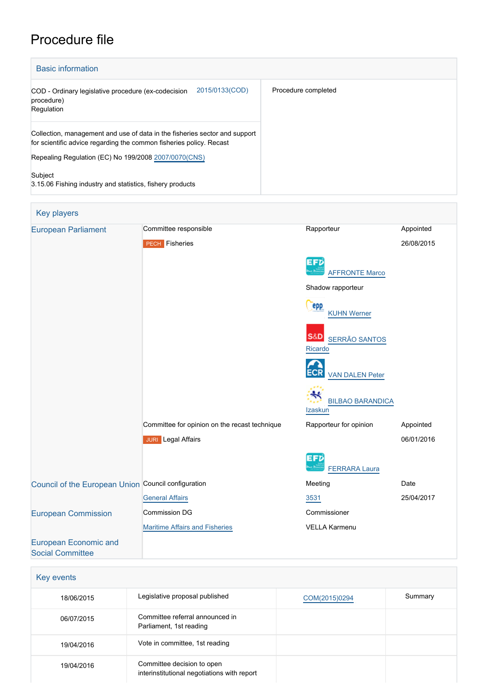## Procedure file

| <b>Basic information</b>                                                                                                                                                                                  |                     |
|-----------------------------------------------------------------------------------------------------------------------------------------------------------------------------------------------------------|---------------------|
| 2015/0133(COD)<br>COD - Ordinary legislative procedure (ex-codecision<br>procedure)<br>Regulation                                                                                                         | Procedure completed |
| Collection, management and use of data in the fisheries sector and support<br>for scientific advice regarding the common fisheries policy. Recast<br>Repealing Regulation (EC) No 199/2008 2007/0070(CNS) |                     |
| Subject<br>3.15.06 Fishing industry and statistics, fishery products                                                                                                                                      |                     |

| Key players                                             |                                               |                                                   |            |
|---------------------------------------------------------|-----------------------------------------------|---------------------------------------------------|------------|
| <b>European Parliament</b>                              | Committee responsible                         | Rapporteur                                        | Appointed  |
|                                                         | <b>PECH</b> Fisheries                         |                                                   | 26/08/2015 |
|                                                         |                                               | EFD<br><b>AFFRONTE Marco</b>                      |            |
|                                                         |                                               | Shadow rapporteur                                 |            |
|                                                         |                                               | epp<br><b>KUHN Werner</b>                         |            |
|                                                         |                                               | <b>S&amp;D</b><br><b>SERRÃO SANTOS</b><br>Ricardo |            |
|                                                         |                                               | <b>VAN DALEN Peter</b>                            |            |
|                                                         |                                               | ₩<br><b>BILBAO BARANDICA</b><br>Izaskun           |            |
|                                                         | Committee for opinion on the recast technique | Rapporteur for opinion                            | Appointed  |
|                                                         | <b>JURI</b> Legal Affairs                     |                                                   | 06/01/2016 |
|                                                         |                                               | EFD<br><b>FERRARA Laura</b>                       |            |
| Council of the European Union Council configuration     |                                               | Meeting                                           | Date       |
|                                                         | <b>General Affairs</b>                        | 3531                                              | 25/04/2017 |
| <b>European Commission</b>                              | Commission DG                                 | Commissioner                                      |            |
|                                                         | <b>Maritime Affairs and Fisheries</b>         | <b>VELLA Karmenu</b>                              |            |
| <b>European Economic and</b><br><b>Social Committee</b> |                                               |                                                   |            |

| Key events |                                                                           |               |         |
|------------|---------------------------------------------------------------------------|---------------|---------|
| 18/06/2015 | Legislative proposal published                                            | COM(2015)0294 | Summary |
| 06/07/2015 | Committee referral announced in<br>Parliament, 1st reading                |               |         |
| 19/04/2016 | Vote in committee, 1st reading                                            |               |         |
| 19/04/2016 | Committee decision to open<br>interinstitutional negotiations with report |               |         |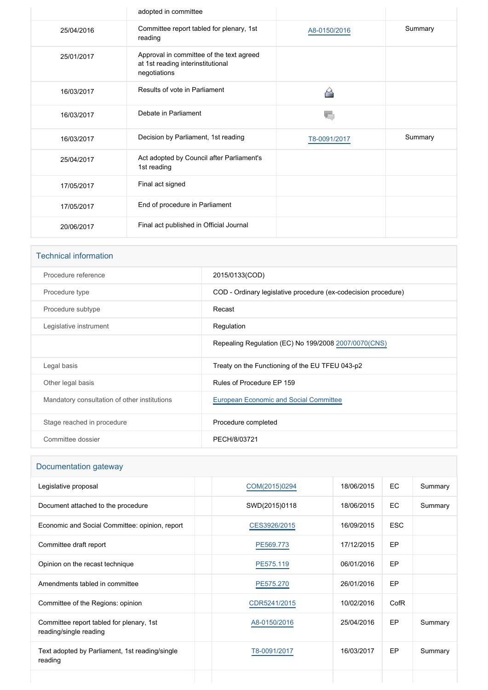|            | adopted in committee                                                                          |              |         |
|------------|-----------------------------------------------------------------------------------------------|--------------|---------|
| 25/04/2016 | Committee report tabled for plenary, 1st<br>reading                                           | A8-0150/2016 | Summary |
| 25/01/2017 | Approval in committee of the text agreed<br>at 1st reading interinstitutional<br>negotiations |              |         |
| 16/03/2017 | Results of vote in Parliament                                                                 |              |         |
| 16/03/2017 | Debate in Parliament                                                                          |              |         |
| 16/03/2017 | Decision by Parliament, 1st reading                                                           | T8-0091/2017 | Summary |
| 25/04/2017 | Act adopted by Council after Parliament's<br>1st reading                                      |              |         |
| 17/05/2017 | Final act signed                                                                              |              |         |
| 17/05/2017 | End of procedure in Parliament                                                                |              |         |
| 20/06/2017 | Final act published in Official Journal                                                       |              |         |

# Technical information Procedure reference 2015/0133(COD) Procedure type **COD** - Ordinary legislative procedure (ex-codecision procedure) Procedure subtype Recast Legislative instrument **Regulation** Repealing Regulation (EC) No 199/2008 [2007/0070\(CNS\)](https://oeil.secure.europarl.europa.eu/oeil/popups/ficheprocedure.do?lang=en&reference=2007/0070(CNS)) Legal basis **Treaty on the Functioning of the EU TFEU 043-p2** Other legal basis **Rules of Procedure EP 159** Mandatory consultation of other institutions [European Economic and Social Committee](http://www.eesc.europa.eu/) Stage reached in procedure **Procedure Completed** Procedure completed Committee dossier **PECH/8/03721**

## Documentation gateway

| Legislative proposal                                               | COM(2015)0294 | 18/06/2015 | EC         | Summary |
|--------------------------------------------------------------------|---------------|------------|------------|---------|
| Document attached to the procedure                                 | SWD(2015)0118 | 18/06/2015 | <b>EC</b>  | Summary |
| Economic and Social Committee: opinion, report                     | CES3926/2015  | 16/09/2015 | <b>ESC</b> |         |
| Committee draft report                                             | PE569.773     | 17/12/2015 | EP         |         |
| Opinion on the recast technique                                    | PE575.119     | 06/01/2016 | EP         |         |
| Amendments tabled in committee                                     | PE575.270     | 26/01/2016 | EP         |         |
| Committee of the Regions: opinion                                  | CDR5241/2015  | 10/02/2016 | CofR       |         |
| Committee report tabled for plenary, 1st<br>reading/single reading | A8-0150/2016  | 25/04/2016 | EP         | Summary |
| Text adopted by Parliament, 1st reading/single<br>reading          | T8-0091/2017  | 16/03/2017 | EP         | Summary |
|                                                                    |               |            |            |         |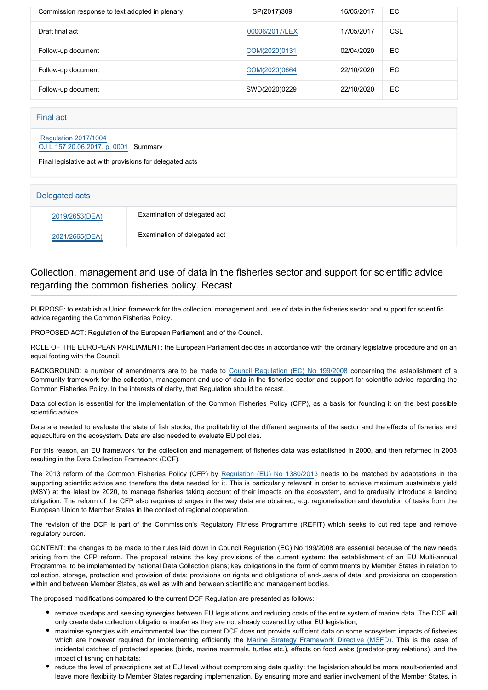| Commission response to text adopted in plenary | SP(2017)309    | 16/05/2017 | EC  |  |
|------------------------------------------------|----------------|------------|-----|--|
| Draft final act                                | 00006/2017/LEX | 17/05/2017 | CSL |  |
| Follow-up document                             | COM(2020)0131  | 02/04/2020 | EC. |  |
| Follow-up document                             | COM(2020)0664  | 22/10/2020 | EC. |  |
| Follow-up document                             | SWD(2020)0229  | 22/10/2020 | EC. |  |

#### Final act

#### [Regulation 2017/1004](https://eur-lex.europa.eu/smartapi/cgi/sga_doc?smartapi!celexplus!prod!CELEXnumdoc&lg=EN&numdoc=32017R1004) [OJ L 157 20.06.2017, p. 0001](https://eur-lex.europa.eu/legal-content/EN/TXT/?uri=OJ:L:2017:157:TOC) Summary

Final legislative act with provisions for delegated acts

| Delegated acts |                              |
|----------------|------------------------------|
| 2019/2653(DEA) | Examination of delegated act |
| 2021/2665(DEA) | Examination of delegated act |

## Collection, management and use of data in the fisheries sector and support for scientific advice regarding the common fisheries policy. Recast

PURPOSE: to establish a Union framework for the collection, management and use of data in the fisheries sector and support for scientific advice regarding the Common Fisheries Policy.

PROPOSED ACT: Regulation of the European Parliament and of the Council.

ROLE OF THE EUROPEAN PARLIAMENT: the European Parliament decides in accordance with the ordinary legislative procedure and on an equal footing with the Council.

BACKGROUND: a number of amendments are to be made to [Council Regulation \(EC\) No 199/200](http://www.europarl.europa.eu/oeil/popups/ficheprocedure.do?reference=2007/0070(CNS)&l=en)8 concerning the establishment of a Community framework for the collection, management and use of data in the fisheries sector and support for scientific advice regarding the Common Fisheries Policy. In the interests of clarity, that Regulation should be recast.

Data collection is essential for the implementation of the Common Fisheries Policy (CFP), as a basis for founding it on the best possible scientific advice.

Data are needed to evaluate the state of fish stocks, the profitability of the different segments of the sector and the effects of fisheries and aquaculture on the ecosystem. Data are also needed to evaluate EU policies.

For this reason, an EU framework for the collection and management of fisheries data was established in 2000, and then reformed in 2008 resulting in the Data Collection Framework (DCF).

The 2013 reform of the Common Fisheries Policy (CFP) by [Regulation \(EU\) No 1380/201](http://www.europarl.europa.eu/oeil/popups/ficheprocedure.do?reference=2011/0195(COD)&l=en)3 needs to be matched by adaptations in the supporting scientific advice and therefore the data needed for it. This is particularly relevant in order to achieve maximum sustainable yield (MSY) at the latest by 2020, to manage fisheries taking account of their impacts on the ecosystem, and to gradually introduce a landing obligation. The reform of the CFP also requires changes in the way data are obtained, e.g. regionalisation and devolution of tasks from the European Union to Member States in the context of regional cooperation.

The revision of the DCF is part of the Commission's Regulatory Fitness Programme (REFIT) which seeks to cut red tape and remove regulatory burden.

CONTENT: the changes to be made to the rules laid down in Council Regulation (EC) No 199/2008 are essential because of the new needs arising from the CFP reform. The proposal retains the key provisions of the current system: the establishment of an EU Multi-annual Programme, to be implemented by national Data Collection plans; key obligations in the form of commitments by Member States in relation to collection, storage, protection and provision of data; provisions on rights and obligations of end-users of data; and provisions on cooperation within and between Member States, as well as with and between scientific and management bodies.

The proposed modifications compared to the current DCF Regulation are presented as follows:

- remove overlaps and seeking synergies between EU legislations and reducing costs of the entire system of marine data. The DCF will only create data collection obligations insofar as they are not already covered by other EU legislation;
- maximise synergies with environmental law: the current DCF does not provide sufficient data on some ecosystem impacts of fisheries which are however required for implementing efficiently the [Marine Strategy Framework Directive \(MSFD](http://www.europarl.europa.eu/oeil/popups/ficheprocedure.do?reference=2005/0211(COD)&l=en)). This is the case of incidental catches of protected species (birds, marine mammals, turtles etc.), effects on food webs (predator-prey relations), and the impact of fishing on habitats;
- reduce the level of prescriptions set at EU level without compromising data quality: the legislation should be more result-oriented and leave more flexibility to Member States regarding implementation. By ensuring more and earlier involvement of the Member States, in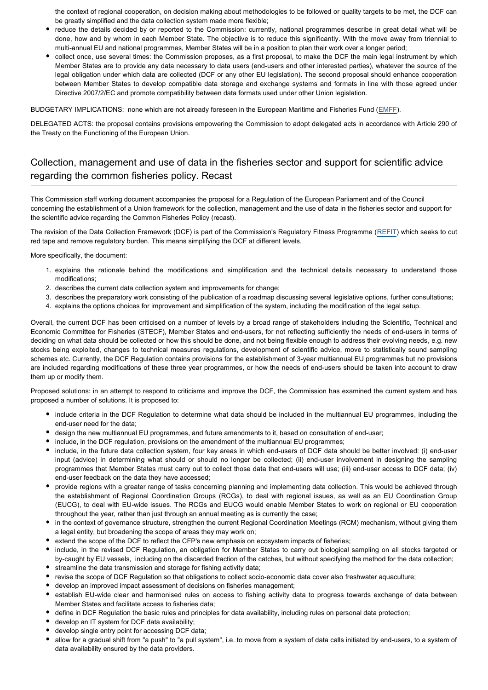the context of regional cooperation, on decision making about methodologies to be followed or quality targets to be met, the DCF can be greatly simplified and the data collection system made more flexible;

- reduce the details decided by or reported to the Commission: currently, national programmes describe in great detail what will be done, how and by whom in each Member State. The objective is to reduce this significantly. With the move away from triennial to multi-annual EU and national programmes, Member States will be in a position to plan their work over a longer period;
- collect once, use several times: the Commission proposes, as a first proposal, to make the DCF the main legal instrument by which Member States are to provide any data necessary to data users (end-users and other interested parties), whatever the source of the legal obligation under which data are collected (DCF or any other EU legislation). The second proposal should enhance cooperation between Member States to develop compatible data storage and exchange systems and formats in line with those agreed under Directive 2007/2/EC and promote compatibility between data formats used under other Union legislation.

BUDGETARY IMPLICATIONS: none which are not already foreseen in the European Maritime and Fisheries Fund ([EMFF](http://www.europarl.europa.eu/oeil/popups/ficheprocedure.do?reference=2011/0380(COD)&l=en)).

DELEGATED ACTS: the proposal contains provisions empowering the Commission to adopt delegated acts in accordance with Article 290 of the Treaty on the Functioning of the European Union.

## Collection, management and use of data in the fisheries sector and support for scientific advice regarding the common fisheries policy. Recast

This Commission staff working document accompanies the proposal for a Regulation of the European Parliament and of the Council concerning the establishment of a Union framework for the collection, management and the use of data in the fisheries sector and support for the scientific advice regarding the Common Fisheries Policy (recast).

The revision of the Data Collection Framework (DCF) is part of the Commission's Regulatory Fitness Programme ([REFIT](http://www.europarl.europa.eu/oeil/popups/ficheprocedure.do?reference=2014/2150(INI)&l=en)) which seeks to cut red tape and remove regulatory burden. This means simplifying the DCF at different levels.

More specifically, the document:

- 1. explains the rationale behind the modifications and simplification and the technical details necessary to understand those modifications;
- 2. describes the current data collection system and improvements for change;
- 3. describes the preparatory work consisting of the publication of a roadmap discussing several legislative options, further consultations;
- 4. explains the options choices for improvement and simplification of the system, including the modification of the legal setup.

Overall, the current DCF has been criticised on a number of levels by a broad range of stakeholders including the Scientific, Technical and Economic Committee for Fisheries (STECF), Member States and end-users, for not reflecting sufficiently the needs of end-users in terms of deciding on what data should be collected or how this should be done, and not being flexible enough to address their evolving needs, e.g. new stocks being exploited, changes to technical measures regulations, development of scientific advice, move to statistically sound sampling schemes etc. Currently, the DCF Regulation contains provisions for the establishment of 3-year multiannual EU programmes but no provisions are included regarding modifications of these three year programmes, or how the needs of end-users should be taken into account to draw them up or modify them.

Proposed solutions: in an attempt to respond to criticisms and improve the DCF, the Commission has examined the current system and has proposed a number of solutions. It is proposed to:

- include criteria in the DCF Regulation to determine what data should be included in the multiannual EU programmes, including the end-user need for the data;
- design the new multiannual EU programmes, and future amendments to it, based on consultation of end-user;
- include, in the DCF regulation, provisions on the amendment of the multiannual EU programmes;
- include, in the future data collection system, four key areas in which end-users of DCF data should be better involved: (i) end-user input (advice) in determining what should or should no longer be collected; (ii) end-user involvement in designing the sampling programmes that Member States must carry out to collect those data that end-users will use; (iii) end-user access to DCF data; (iv) end-user feedback on the data they have accessed;
- provide regions with a greater range of tasks concerning planning and implementing data collection. This would be achieved through the establishment of Regional Coordination Groups (RCGs), to deal with regional issues, as well as an EU Coordination Group (EUCG), to deal with EU-wide issues. The RCGs and EUCG would enable Member States to work on regional or EU cooperation throughout the year, rather than just through an annual meeting as is currently the case;
- in the context of governance structure, strengthen the current Regional Coordination Meetings (RCM) mechanism, without giving them a legal entity, but broadening the scope of areas they may work on;
- extend the scope of the DCF to reflect the CFP's new emphasis on ecosystem impacts of fisheries;
- include, in the revised DCF Regulation, an obligation for Member States to carry out biological sampling on all stocks targeted or by-caught by EU vessels, including on the discarded fraction of the catches, but without specifying the method for the data collection;
- streamline the data transmission and storage for fishing activity data;
- revise the scope of DCF Regulation so that obligations to collect socio-economic data cover also freshwater aquaculture;
- develop an improved impact assessment of decisions on fisheries management;
- establish EU-wide clear and harmonised rules on access to fishing activity data to progress towards exchange of data between Member States and facilitate access to fisheries data;
- define in DCF Regulation the basic rules and principles for data availability, including rules on personal data protection;
- develop an IT system for DCF data availability;
- develop single entry point for accessing DCF data;
- allow for a gradual shift from "a push" to "a pull system", i.e. to move from a system of data calls initiated by end-users, to a system of data availability ensured by the data providers.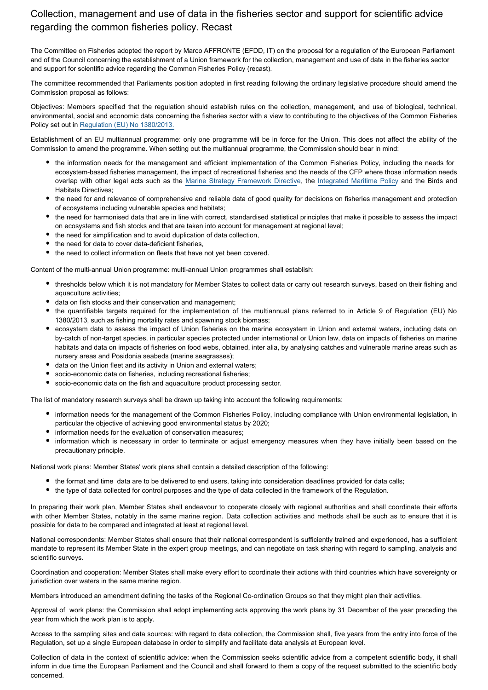The Committee on Fisheries adopted the report by Marco AFFRONTE (EFDD, IT) on the proposal for a regulation of the European Parliament and of the Council concerning the establishment of a Union framework for the collection, management and use of data in the fisheries sector and support for scientific advice regarding the Common Fisheries Policy (recast).

The committee recommended that Parliaments position adopted in first reading following the ordinary legislative procedure should amend the Commission proposal as follows:

Objectives: Members specified that the regulation should establish rules on the collection, management, and use of biological, technical, environmental, social and economic data concerning the fisheries sector with a view to contributing to the objectives of the Common Fisheries Policy set out in [Regulation \(EU\) No 1380/2013.](http://www.europarl.europa.eu/oeil/popups/ficheprocedure.do?reference=2011/0195(COD)&l=en)

Establishment of an EU multiannual programme: only one programme will be in force for the Union. This does not affect the ability of the Commission to amend the programme. When setting out the multiannual programme, the Commission should bear in mind:

- the information needs for the management and efficient implementation of the Common Fisheries Policy, including the needs for ecosystem-based fisheries management, the impact of recreational fisheries and the needs of the CFP where those information needs overlap with other legal acts such as the [Marine Strategy Framework Directive](http://www.europarl.europa.eu/oeil/popups/ficheprocedure.do?reference=2005/0211(COD)&l=en), the [Integrated Maritime Policy](http://www.europarl.europa.eu/oeil/popups/ficheprocedure.do?lang=en&reference=2010/2040(INI)) and the Birds and Habitats Directives;
- the need for and relevance of comprehensive and reliable data of good quality for decisions on fisheries management and protection of ecosystems including vulnerable species and habitats;
- the need for harmonised data that are in line with correct, standardised statistical principles that make it possible to assess the impact on ecosystems and fish stocks and that are taken into account for management at regional level;
- the need for simplification and to avoid duplication of data collection,
- the need for data to cover data-deficient fisheries,
- the need to collect information on fleets that have not yet been covered.

Content of the multi-annual Union programme: multi-annual Union programmes shall establish:

- thresholds below which it is not mandatory for Member States to collect data or carry out research surveys, based on their fishing and aquaculture activities;
- data on fish stocks and their conservation and management;
- the quantifiable targets required for the implementation of the multiannual plans referred to in Article 9 of Regulation (EU) No 1380/2013, such as fishing mortality rates and spawning stock biomass;
- ecosystem data to assess the impact of Union fisheries on the marine ecosystem in Union and external waters, including data on by-catch of non-target species, in particular species protected under international or Union law, data on impacts of fisheries on marine habitats and data on impacts of fisheries on food webs, obtained, inter alia, by analysing catches and vulnerable marine areas such as nursery areas and Posidonia seabeds (marine seagrasses);
- data on the Union fleet and its activity in Union and external waters;
- socio-economic data on fisheries, including recreational fisheries;
- socio-economic data on the fish and aquaculture product processing sector.

The list of mandatory research surveys shall be drawn up taking into account the following requirements:

- information needs for the management of the Common Fisheries Policy, including compliance with Union environmental legislation, in particular the objective of achieving good environmental status by 2020;
- information needs for the evaluation of conservation measures;
- information which is necessary in order to terminate or adjust emergency measures when they have initially been based on the precautionary principle.

National work plans: Member States' work plans shall contain a detailed description of the following:

- the format and time data are to be delivered to end users, taking into consideration deadlines provided for data calls;
- the type of data collected for control purposes and the type of data collected in the framework of the Regulation.

In preparing their work plan, Member States shall endeavour to cooperate closely with regional authorities and shall coordinate their efforts with other Member States, notably in the same marine region. Data collection activities and methods shall be such as to ensure that it is possible for data to be compared and integrated at least at regional level.

National correspondents: Member States shall ensure that their national correspondent is sufficiently trained and experienced, has a sufficient mandate to represent its Member State in the expert group meetings, and can negotiate on task sharing with regard to sampling, analysis and scientific surveys.

Coordination and cooperation: Member States shall make every effort to coordinate their actions with third countries which have sovereignty or jurisdiction over waters in the same marine region.

Members introduced an amendment defining the tasks of the Regional Co-ordination Groups so that they might plan their activities.

Approval of work plans: the Commission shall adopt implementing acts approving the work plans by 31 December of the year preceding the year from which the work plan is to apply.

Access to the sampling sites and data sources: with regard to data collection, the Commission shall, five years from the entry into force of the Regulation, set up a single European database in order to simplify and facilitate data analysis at European level.

Collection of data in the context of scientific advice: when the Commission seeks scientific advice from a competent scientific body, it shall inform in due time the European Parliament and the Council and shall forward to them a copy of the request submitted to the scientific body concerned.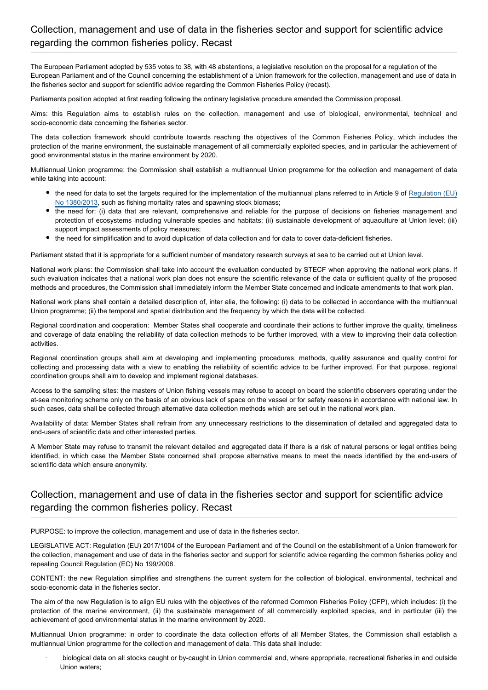The European Parliament adopted by 535 votes to 38, with 48 abstentions, a legislative resolution on the proposal for a regulation of the European Parliament and of the Council concerning the establishment of a Union framework for the collection, management and use of data in the fisheries sector and support for scientific advice regarding the Common Fisheries Policy (recast).

Parliaments position adopted at first reading following the ordinary legislative procedure amended the Commission proposal.

Aims: this Regulation aims to establish rules on the collection, management and use of biological, environmental, technical and socio-economic data concerning the fisheries sector.

The data collection framework should contribute towards reaching the objectives of the Common Fisheries Policy, which includes the protection of the marine environment, the sustainable management of all commercially exploited species, and in particular the achievement of good environmental status in the marine environment by 2020.

Multiannual Union programme: the Commission shall establish a multiannual Union programme for the collection and management of data while taking into account:

- the need for data to set the targets required for the implementation of the multiannual plans referred to in Article 9 of [Regulation \(EU\)](http://www.europarl.europa.eu/oeil/popups/ficheprocedure.do?reference=2011/0195(COD)&l=en) [No 1380/2013](http://www.europarl.europa.eu/oeil/popups/ficheprocedure.do?reference=2011/0195(COD)&l=en), such as fishing mortality rates and spawning stock biomass;
- the need for: (i) data that are relevant, comprehensive and reliable for the purpose of decisions on fisheries management and protection of ecosystems including vulnerable species and habitats; (ii) sustainable development of aquaculture at Union level; (iii) support impact assessments of policy measures;
- the need for simplification and to avoid duplication of data collection and for data to cover data-deficient fisheries.

Parliament stated that it is appropriate for a sufficient number of mandatory research surveys at sea to be carried out at Union level.

National work plans: the Commission shall take into account the evaluation conducted by STECF when approving the national work plans. If such evaluation indicates that a national work plan does not ensure the scientific relevance of the data or sufficient quality of the proposed methods and procedures, the Commission shall immediately inform the Member State concerned and indicate amendments to that work plan.

National work plans shall contain a detailed description of, inter alia, the following: (i) data to be collected in accordance with the multiannual Union programme; (ii) the temporal and spatial distribution and the frequency by which the data will be collected.

Regional coordination and cooperation: Member States shall cooperate and coordinate their actions to further improve the quality, timeliness and coverage of data enabling the reliability of data collection methods to be further improved, with a view to improving their data collection activities.

Regional coordination groups shall aim at developing and implementing procedures, methods, quality assurance and quality control for collecting and processing data with a view to enabling the reliability of scientific advice to be further improved. For that purpose, regional coordination groups shall aim to develop and implement regional databases.

Access to the sampling sites: the masters of Union fishing vessels may refuse to accept on board the scientific observers operating under the at-sea monitoring scheme only on the basis of an obvious lack of space on the vessel or for safety reasons in accordance with national law. In such cases, data shall be collected through alternative data collection methods which are set out in the national work plan.

Availability of data: Member States shall refrain from any unnecessary restrictions to the dissemination of detailed and aggregated data to end-users of scientific data and other interested parties.

A Member State may refuse to transmit the relevant detailed and aggregated data if there is a risk of natural persons or legal entities being identified, in which case the Member State concerned shall propose alternative means to meet the needs identified by the end-users of scientific data which ensure anonymity.

## Collection, management and use of data in the fisheries sector and support for scientific advice regarding the common fisheries policy. Recast

PURPOSE: to improve the collection, management and use of data in the fisheries sector.

LEGISLATIVE ACT: Regulation (EU) 2017/1004 of the European Parliament and of the Council on the establishment of a Union framework for the collection, management and use of data in the fisheries sector and support for scientific advice regarding the common fisheries policy and repealing Council Regulation (EC) No 199/2008.

CONTENT: the new Regulation simplifies and strengthens the current system for the collection of biological, environmental, technical and socio-economic data in the fisheries sector.

The aim of the new Regulation is to align EU rules with the objectives of the reformed Common Fisheries Policy (CFP), which includes: (i) the protection of the marine environment, (ii) the sustainable management of all commercially exploited species, and in particular (iii) the achievement of good environmental status in the marine environment by 2020.

Multiannual Union programme: in order to coordinate the data collection efforts of all Member States, the Commission shall establish a multiannual Union programme for the collection and management of data. This data shall include:

· biological data on all stocks caught or by-caught in Union commercial and, where appropriate, recreational fisheries in and outside Union waters;